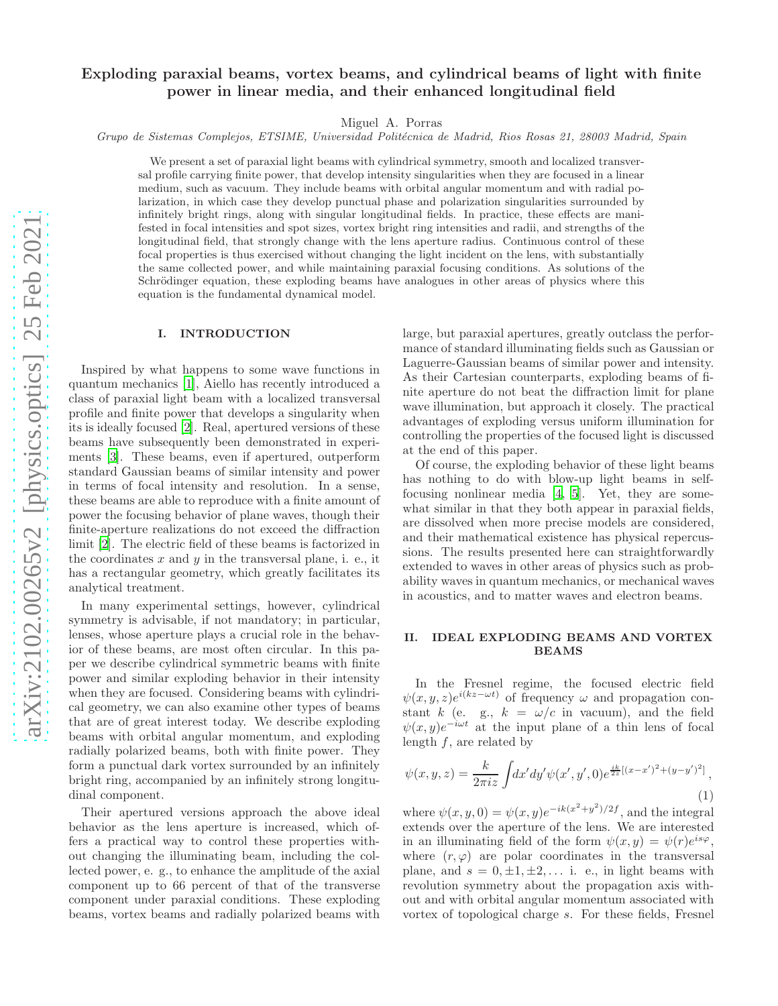# Exploding paraxial beams, vortex beams, and cylindrical beams of light with finite power in linear media, and their enhanced longitudinal field

Miguel A. Porras

*Grupo de Sistemas Complejos, ETSIME, Universidad Polit´ecnica de Madrid, Rios Rosas 21, 28003 Madrid, Spain*

We present a set of paraxial light beams with cylindrical symmetry, smooth and localized transversal profile carrying finite power, that develop intensity singularities when they are focused in a linear medium, such as vacuum. They include beams with orbital angular momentum and with radial polarization, in which case they develop punctual phase and polarization singularities surrounded by infinitely bright rings, along with singular longitudinal fields. In practice, these effects are manifested in focal intensities and spot sizes, vortex bright ring intensities and radii, and strengths of the longitudinal field, that strongly change with the lens aperture radius. Continuous control of these focal properties is thus exercised without changing the light incident on the lens, with substantially the same collected power, and while maintaining paraxial focusing conditions. As solutions of the Schrödinger equation, these exploding beams have analogues in other areas of physics where this equation is the fundamental dynamical model.

#### I. INTRODUCTION

Inspired by what happens to some wave functions in quantum mechanics [\[1](#page-6-0)], Aiello has recently introduced a class of paraxial light beam with a localized transversal profile and finite power that develops a singularity when its is ideally focused [\[2\]](#page-6-1). Real, apertured versions of these beams have subsequently been demonstrated in experiments [\[3\]](#page-6-2). These beams, even if apertured, outperform standard Gaussian beams of similar intensity and power in terms of focal intensity and resolution. In a sense, these beams are able to reproduce with a finite amount of power the focusing behavior of plane waves, though their finite-aperture realizations do not exceed the diffraction limit [\[2](#page-6-1)]. The electric field of these beams is factorized in the coordinates  $x$  and  $y$  in the transversal plane, i. e., it has a rectangular geometry, which greatly facilitates its analytical treatment.

In many experimental settings, however, cylindrical symmetry is advisable, if not mandatory; in particular, lenses, whose aperture plays a crucial role in the behavior of these beams, are most often circular. In this paper we describe cylindrical symmetric beams with finite power and similar exploding behavior in their intensity when they are focused. Considering beams with cylindrical geometry, we can also examine other types of beams that are of great interest today. We describe exploding beams with orbital angular momentum, and exploding radially polarized beams, both with finite power. They form a punctual dark vortex surrounded by an infinitely bright ring, accompanied by an infinitely strong longitudinal component.

Their apertured versions approach the above ideal behavior as the lens aperture is increased, which offers a practical way to control these properties without changing the illuminating beam, including the collected power, e. g., to enhance the amplitude of the axial component up to 66 percent of that of the transverse component under paraxial conditions. These exploding beams, vortex beams and radially polarized beams with large, but paraxial apertures, greatly outclass the performance of standard illuminating fields such as Gaussian or Laguerre-Gaussian beams of similar power and intensity. As their Cartesian counterparts, exploding beams of finite aperture do not beat the diffraction limit for plane wave illumination, but approach it closely. The practical advantages of exploding versus uniform illumination for controlling the properties of the focused light is discussed at the end of this paper.

Of course, the exploding behavior of these light beams has nothing to do with blow-up light beams in selffocusing nonlinear media [\[4](#page-6-3), [5](#page-6-4)]. Yet, they are somewhat similar in that they both appear in paraxial fields, are dissolved when more precise models are considered, and their mathematical existence has physical repercussions. The results presented here can straightforwardly extended to waves in other areas of physics such as probability waves in quantum mechanics, or mechanical waves in acoustics, and to matter waves and electron beams.

## II. IDEAL EXPLODING BEAMS AND VORTEX BEAMS

In the Fresnel regime, the focused electric field  $\psi(x, y, z)e^{i(kz-\omega t)}$  of frequency  $\omega$  and propagation constant k (e. g.,  $k = \omega/c$  in vacuum), and the field  $\psi(x,y)e^{-i\omega t}$  at the input plane of a thin lens of focal length f, are related by

<span id="page-0-0"></span>
$$
\psi(x,y,z) = \frac{k}{2\pi i z} \int dx' dy' \psi(x',y',0)e^{\frac{ik}{2z}[(x-x')^2 + (y-y')^2]},
$$
\n(1)

where  $\psi(x, y, 0) = \psi(x, y)e^{-ik(x^2+y^2)/2f}$ , and the integral extends over the aperture of the lens. We are interested in an illuminating field of the form  $\psi(x,y) = \psi(r)e^{is\varphi}$ , where  $(r, \varphi)$  are polar coordinates in the transversal plane, and  $s = 0, \pm 1, \pm 2, \ldots$  i. e., in light beams with revolution symmetry about the propagation axis without and with orbital angular momentum associated with vortex of topological charge s. For these fields, Fresnel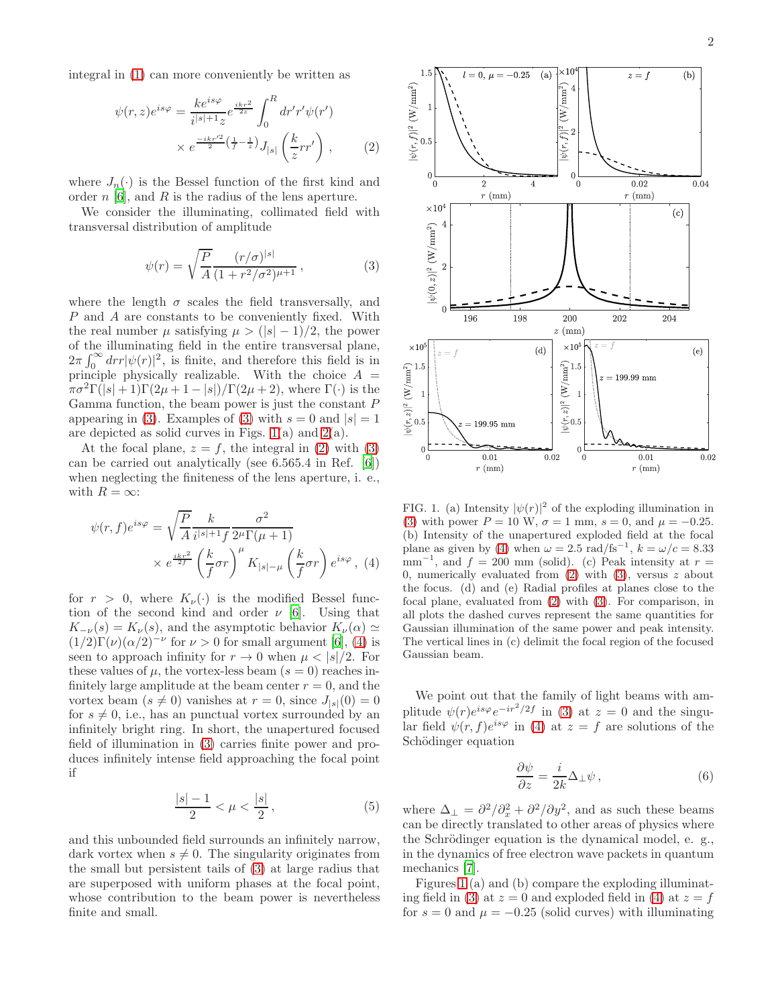<span id="page-1-2"></span>
$$
\psi(r,z)e^{is\varphi} = \frac{ke^{is\varphi}}{i^{|s|+1}z}e^{\frac{ikr^2}{2z}} \int_0^R dr' r'\psi(r')
$$

$$
\times e^{\frac{-ikr'^2}{2}(\frac{1}{f}-\frac{1}{z})} J_{|s|}\left(\frac{k}{z}rr'\right), \qquad (2)
$$

where  $J_n(\cdot)$  is the Bessel function of the first kind and order  $n$  [\[6](#page-7-0)], and R is the radius of the lens aperture.

We consider the illuminating, collimated field with transversal distribution of amplitude

<span id="page-1-0"></span>
$$
\psi(r) = \sqrt{\frac{P}{A}} \frac{(r/\sigma)^{|s|}}{(1 + r^2/\sigma^2)^{\mu+1}},
$$
\n(3)

where the length  $\sigma$  scales the field transversally, and P and A are constants to be conveniently fixed. With the real number  $\mu$  satisfying  $\mu > (|s| - 1)/2$ , the power of the illuminating field in the entire transversal plane,  $2\pi \int_0^\infty dr r |\psi(r)|^2$ , is finite, and therefore this field is in principle physically realizable. With the choice  $A =$  $\pi\sigma^2\Gamma(|s|+1)\Gamma(2\mu+1-|s|)/\Gamma(2\mu+2)$ , where  $\Gamma(\cdot)$  is the Gamma function, the beam power is just the constant  $P$ appearing in [\(3\)](#page-1-0). Examples of (3) with  $s = 0$  and  $|s| = 1$ are depicted as solid curves in Figs.  $1(a)$  and  $2(a)$ .

At the focal plane,  $z = f$ , the integral in [\(2\)](#page-1-2) with [\(3\)](#page-1-0) can be carried out analytically (see 6.565.4 in Ref. [\[6](#page-7-0)]) when neglecting the finiteness of the lens aperture, i. e., with  $R = \infty$ :

<span id="page-1-3"></span>
$$
\psi(r,f)e^{is\varphi} = \sqrt{\frac{P}{A}} \frac{k}{i^{|s|+1}f} \frac{\sigma^2}{2^{\mu}\Gamma(\mu+1)} \times e^{\frac{ikr^2}{2f}} \left(\frac{k}{f}\sigma r\right)^{\mu} K_{|s|-\mu}\left(\frac{k}{f}\sigma r\right) e^{is\varphi}, (4)
$$

for  $r > 0$ , where  $K_{\nu}(\cdot)$  is the modified Bessel function of the second kind and order  $\nu$  [\[6](#page-7-0)]. Using that  $K_{-\nu}(s) = K_{\nu}(s)$ , and the asymptotic behavior  $K_{\nu}(\alpha) \simeq$  $(1/2)\Gamma(\nu)(\alpha/2)^{-\nu}$  for  $\nu > 0$  for small argument [\[6](#page-7-0)], [\(4\)](#page-1-3) is seen to approach infinity for  $r \to 0$  when  $\mu < |s|/2$ . For these values of  $\mu$ , the vortex-less beam  $(s = 0)$  reaches infinitely large amplitude at the beam center  $r = 0$ , and the vortex beam  $(s \neq 0)$  vanishes at  $r = 0$ , since  $J_{|s|}(0) = 0$ for  $s \neq 0$ , i.e., has an punctual vortex surrounded by an infinitely bright ring. In short, the unapertured focused field of illumination in [\(3\)](#page-1-0) carries finite power and produces infinitely intense field approaching the focal point if

$$
\frac{|s| - 1}{2} < \mu < \frac{|s|}{2},\tag{5}
$$

and this unbounded field surrounds an infinitely narrow, dark vortex when  $s \neq 0$ . The singularity originates from the small but persistent tails of [\(3\)](#page-1-0) at large radius that are superposed with uniform phases at the focal point, whose contribution to the beam power is nevertheless finite and small.



<span id="page-1-1"></span>FIG. 1. (a) Intensity  $|\psi(r)|^2$  of the exploding illumination in [\(3\)](#page-1-0) with power  $P = 10$  W,  $\sigma = 1$  mm,  $s = 0$ , and  $\mu = -0.25$ . (b) Intensity of the unapertured exploded field at the focal plane as given by [\(4\)](#page-1-3) when  $\omega = 2.5 \text{ rad/fs}^{-1}$ ,  $k = \omega/c = 8.33$  $\text{mm}^{-1}$ , and  $f = 200 \text{ mm}$  (solid). (c) Peak intensity at  $r =$ 0, numerically evaluated from  $(2)$  with  $(3)$ , versus z about the focus. (d) and (e) Radial profiles at planes close to the focal plane, evaluated from [\(2\)](#page-1-2) with [\(3\)](#page-1-0). For comparison, in all plots the dashed curves represent the same quantities for Gaussian illumination of the same power and peak intensity. The vertical lines in (c) delimit the focal region of the focused Gaussian beam.

We point out that the family of light beams with amplitude  $\psi(r)e^{is\varphi}e^{-ir^2/2f}$  in [\(3\)](#page-1-0) at  $z=0$  and the singular field  $\psi(r, f)e^{is\varphi}$  in [\(4\)](#page-1-3) at  $z = f$  are solutions of the Schödinger equation

$$
\frac{\partial \psi}{\partial z} = \frac{i}{2k} \Delta_{\perp} \psi , \qquad (6)
$$

where  $\Delta_{\perp} = \frac{\partial^2}{\partial_x^2} + \frac{\partial^2}{\partial y^2}$ , and as such these beams can be directly translated to other areas of physics where the Schrödinger equation is the dynamical model, e. g., in the dynamics of free electron wave packets in quantum mechanics [\[7](#page-7-1)].

Figures [1](#page-1-1) (a) and (b) compare the exploding illuminat-ing field in [\(3\)](#page-1-0) at  $z = 0$  and exploded field in [\(4\)](#page-1-3) at  $z = f$ for  $s = 0$  and  $\mu = -0.25$  (solid curves) with illuminating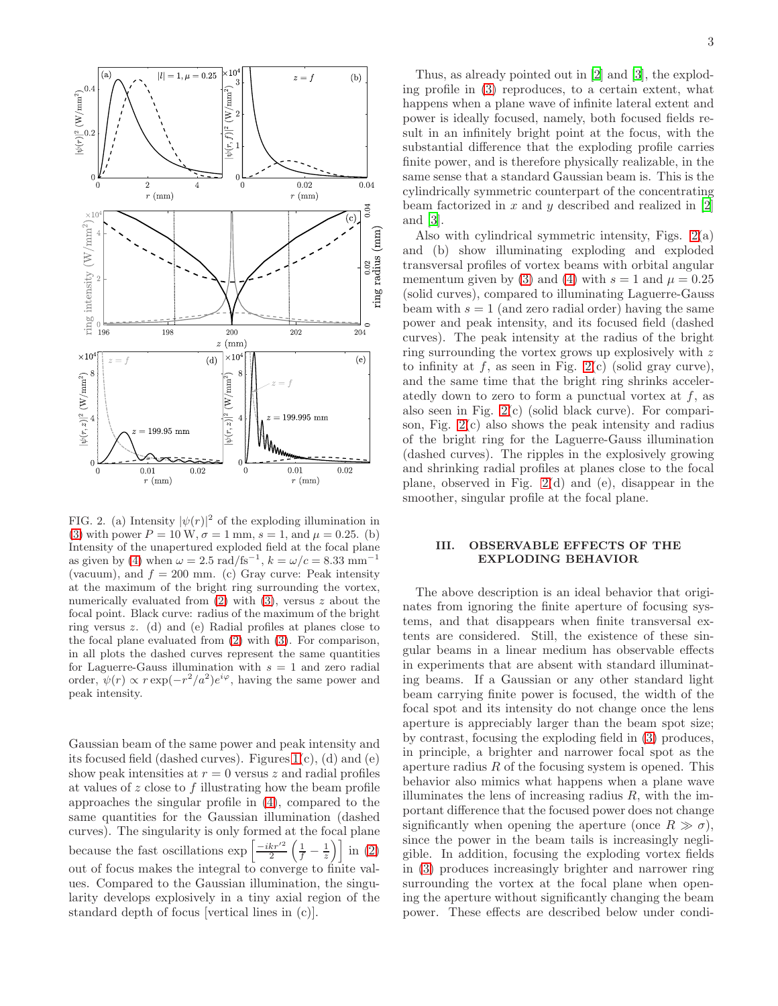

<span id="page-2-0"></span>FIG. 2. (a) Intensity  $|\psi(r)|^2$  of the exploding illumination in [\(3\)](#page-1-0) with power  $P = 10 \text{ W}, \sigma = 1 \text{ mm}, s = 1, \text{ and } \mu = 0.25.$  (b) Intensity of the unapertured exploded field at the focal plane as given by [\(4\)](#page-1-3) when  $\omega = 2.5 \text{ rad/fs}^{-1}$ ,  $k = \omega/c = 8.33 \text{ mm}^{-1}$ (vacuum), and  $f = 200$  mm. (c) Gray curve: Peak intensity at the maximum of the bright ring surrounding the vortex, numerically evaluated from  $(2)$  with  $(3)$ , versus z about the focal point. Black curve: radius of the maximum of the bright ring versus z. (d) and (e) Radial profiles at planes close to the focal plane evaluated from [\(2\)](#page-1-2) with [\(3\)](#page-1-0). For comparison, in all plots the dashed curves represent the same quantities for Laguerre-Gauss illumination with  $s = 1$  and zero radial order,  $\psi(r) \propto r \exp(-r^2/a^2) e^{i\varphi}$ , having the same power and peak intensity.

Gaussian beam of the same power and peak intensity and its focused field (dashed curves). Figures [1\(](#page-1-1)c), (d) and (e) show peak intensities at  $r = 0$  versus z and radial profiles at values of  $z$  close to  $f$  illustrating how the beam profile approaches the singular profile in [\(4\)](#page-1-3), compared to the same quantities for the Gaussian illumination (dashed curves). The singularity is only formed at the focal plane because the fast oscillations  $\exp\left[\frac{-ikr'^2}{2}\left(\frac{1}{f}-\frac{1}{z}\right)\right]$  in [\(2\)](#page-1-2) out of focus makes the integral to converge to finite values. Compared to the Gaussian illumination, the singularity develops explosively in a tiny axial region of the standard depth of focus [vertical lines in (c)].

Thus, as already pointed out in [\[2\]](#page-6-1) and [\[3\]](#page-6-2), the exploding profile in [\(3\)](#page-1-0) reproduces, to a certain extent, what happens when a plane wave of infinite lateral extent and power is ideally focused, namely, both focused fields result in an infinitely bright point at the focus, with the substantial difference that the exploding profile carries finite power, and is therefore physically realizable, in the same sense that a standard Gaussian beam is. This is the cylindrically symmetric counterpart of the concentrating beam factorized in  $x$  and  $y$  described and realized in  $[2]$ and [\[3](#page-6-2)].

Also with cylindrical symmetric intensity, Figs. [2\(](#page-2-0)a) and (b) show illuminating exploding and exploded transversal profiles of vortex beams with orbital angular mementum given by [\(3\)](#page-1-0) and [\(4\)](#page-1-3) with  $s = 1$  and  $\mu = 0.25$ (solid curves), compared to illuminating Laguerre-Gauss beam with  $s = 1$  (and zero radial order) having the same power and peak intensity, and its focused field (dashed curves). The peak intensity at the radius of the bright ring surrounding the vortex grows up explosively with z to infinity at  $f$ , as seen in Fig. [2\(](#page-2-0)c) (solid gray curve), and the same time that the bright ring shrinks acceleratedly down to zero to form a punctual vortex at  $f$ , as also seen in Fig. [2\(](#page-2-0)c) (solid black curve). For comparison, Fig. [2\(](#page-2-0)c) also shows the peak intensity and radius of the bright ring for the Laguerre-Gauss illumination (dashed curves). The ripples in the explosively growing and shrinking radial profiles at planes close to the focal plane, observed in Fig. [2\(](#page-2-0)d) and (e), disappear in the smoother, singular profile at the focal plane.

## III. OBSERVABLE EFFECTS OF THE EXPLODING BEHAVIOR

The above description is an ideal behavior that originates from ignoring the finite aperture of focusing systems, and that disappears when finite transversal extents are considered. Still, the existence of these singular beams in a linear medium has observable effects in experiments that are absent with standard illuminating beams. If a Gaussian or any other standard light beam carrying finite power is focused, the width of the focal spot and its intensity do not change once the lens aperture is appreciably larger than the beam spot size; by contrast, focusing the exploding field in [\(3\)](#page-1-0) produces, in principle, a brighter and narrower focal spot as the aperture radius  $R$  of the focusing system is opened. This behavior also mimics what happens when a plane wave illuminates the lens of increasing radius  $R$ , with the important difference that the focused power does not change significantly when opening the aperture (once  $R \gg \sigma$ ), since the power in the beam tails is increasingly negligible. In addition, focusing the exploding vortex fields in [\(3\)](#page-1-0) produces increasingly brighter and narrower ring surrounding the vortex at the focal plane when opening the aperture without significantly changing the beam power. These effects are described below under condi-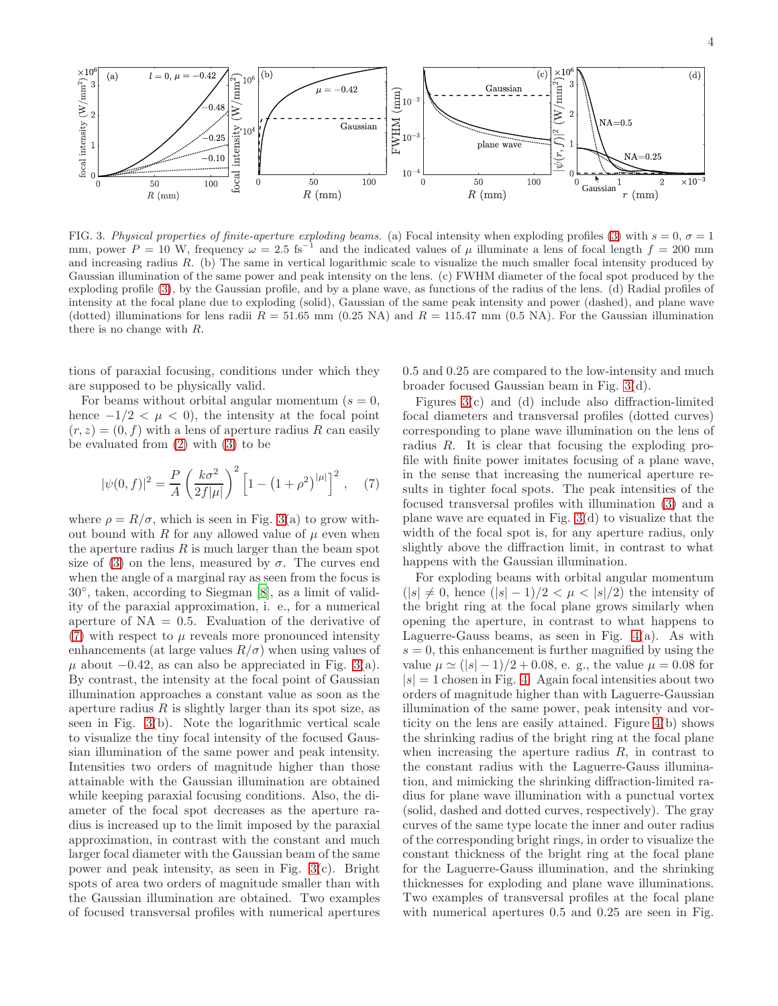

<span id="page-3-0"></span>FIG. 3. *Physical properties of finite-aperture exploding beams.* (a) Focal intensity when exploding profiles [\(3\)](#page-1-0) with  $s = 0$ ,  $\sigma = 1$ mm, power  $P = 10$  W, frequency  $\omega = 2.5$  fs<sup>-1</sup> and the indicated values of  $\mu$  illuminate a lens of focal length  $f = 200$  mm and increasing radius R. (b) The same in vertical logarithmic scale to visualize the much smaller focal intensity produced by Gaussian illumination of the same power and peak intensity on the lens. (c) FWHM diameter of the focal spot produced by the exploding profile [\(3\)](#page-1-0), by the Gaussian profile, and by a plane wave, as functions of the radius of the lens. (d) Radial profiles of intensity at the focal plane due to exploding (solid), Gaussian of the same peak intensity and power (dashed), and plane wave (dotted) illuminations for lens radii  $R = 51.65$  mm (0.25 NA) and  $R = 115.47$  mm (0.5 NA). For the Gaussian illumination there is no change with R.

tions of paraxial focusing, conditions under which they are supposed to be physically valid.

For beams without orbital angular momentum  $(s = 0,$ hence  $-1/2 < \mu < 0$ , the intensity at the focal point  $(r, z) = (0, f)$  with a lens of aperture radius R can easily be evaluated from [\(2\)](#page-1-2) with [\(3\)](#page-1-0) to be

<span id="page-3-1"></span>
$$
|\psi(0,f)|^2 = \frac{P}{A} \left(\frac{k\sigma^2}{2f|\mu|}\right)^2 \left[1 - \left(1 + \rho^2\right)^{|\mu|}\right]^2, \quad (7)
$$

where  $\rho = R/\sigma$ , which is seen in Fig. [3\(](#page-3-0)a) to grow without bound with R for any allowed value of  $\mu$  even when the aperture radius  $R$  is much larger than the beam spot size of [\(3\)](#page-1-0) on the lens, measured by  $\sigma$ . The curves end when the angle of a marginal ray as seen from the focus is 30◦ , taken, according to Siegman [\[8\]](#page-7-2), as a limit of validity of the paraxial approximation, i. e., for a numerical aperture of  $NA = 0.5$ . Evaluation of the derivative of  $(7)$  with respect to  $\mu$  reveals more pronounced intensity enhancements (at large values  $R/\sigma$ ) when using values of  $\mu$  about  $-0.42$ , as can also be appreciated in Fig. [3\(](#page-3-0)a). By contrast, the intensity at the focal point of Gaussian illumination approaches a constant value as soon as the aperture radius  $R$  is slightly larger than its spot size, as seen in Fig. [3\(](#page-3-0)b). Note the logarithmic vertical scale to visualize the tiny focal intensity of the focused Gaussian illumination of the same power and peak intensity. Intensities two orders of magnitude higher than those attainable with the Gaussian illumination are obtained while keeping paraxial focusing conditions. Also, the diameter of the focal spot decreases as the aperture radius is increased up to the limit imposed by the paraxial approximation, in contrast with the constant and much larger focal diameter with the Gaussian beam of the same power and peak intensity, as seen in Fig. [3\(](#page-3-0)c). Bright spots of area two orders of magnitude smaller than with the Gaussian illumination are obtained. Two examples of focused transversal profiles with numerical apertures

0.5 and 0.25 are compared to the low-intensity and much broader focused Gaussian beam in Fig. [3\(](#page-3-0)d).

Figures [3\(](#page-3-0)c) and (d) include also diffraction-limited focal diameters and transversal profiles (dotted curves) corresponding to plane wave illumination on the lens of radius R. It is clear that focusing the exploding profile with finite power imitates focusing of a plane wave, in the sense that increasing the numerical aperture results in tighter focal spots. The peak intensities of the focused transversal profiles with illumination [\(3\)](#page-1-0) and a plane wave are equated in Fig. [3\(](#page-3-0)d) to visualize that the width of the focal spot is, for any aperture radius, only slightly above the diffraction limit, in contrast to what happens with the Gaussian illumination.

For exploding beams with orbital angular momentum  $(|s| \neq 0$ , hence  $(|s| - 1)/2 < \mu < |s|/2$  the intensity of the bright ring at the focal plane grows similarly when opening the aperture, in contrast to what happens to Laguerre-Gauss beams, as seen in Fig. [4\(](#page-4-0)a). As with  $s = 0$ , this enhancement is further magnified by using the value  $\mu \simeq (|s| - 1)/2 + 0.08$ , e. g., the value  $\mu = 0.08$  for  $|s| = 1$  chosen in Fig. [4.](#page-4-0) Again focal intensities about two orders of magnitude higher than with Laguerre-Gaussian illumination of the same power, peak intensity and vorticity on the lens are easily attained. Figure [4\(](#page-4-0)b) shows the shrinking radius of the bright ring at the focal plane when increasing the aperture radius  $R$ , in contrast to the constant radius with the Laguerre-Gauss illumination, and mimicking the shrinking diffraction-limited radius for plane wave illumination with a punctual vortex (solid, dashed and dotted curves, respectively). The gray curves of the same type locate the inner and outer radius of the corresponding bright rings, in order to visualize the constant thickness of the bright ring at the focal plane for the Laguerre-Gauss illumination, and the shrinking thicknesses for exploding and plane wave illuminations. Two examples of transversal profiles at the focal plane with numerical apertures  $0.5$  and  $0.25$  are seen in Fig.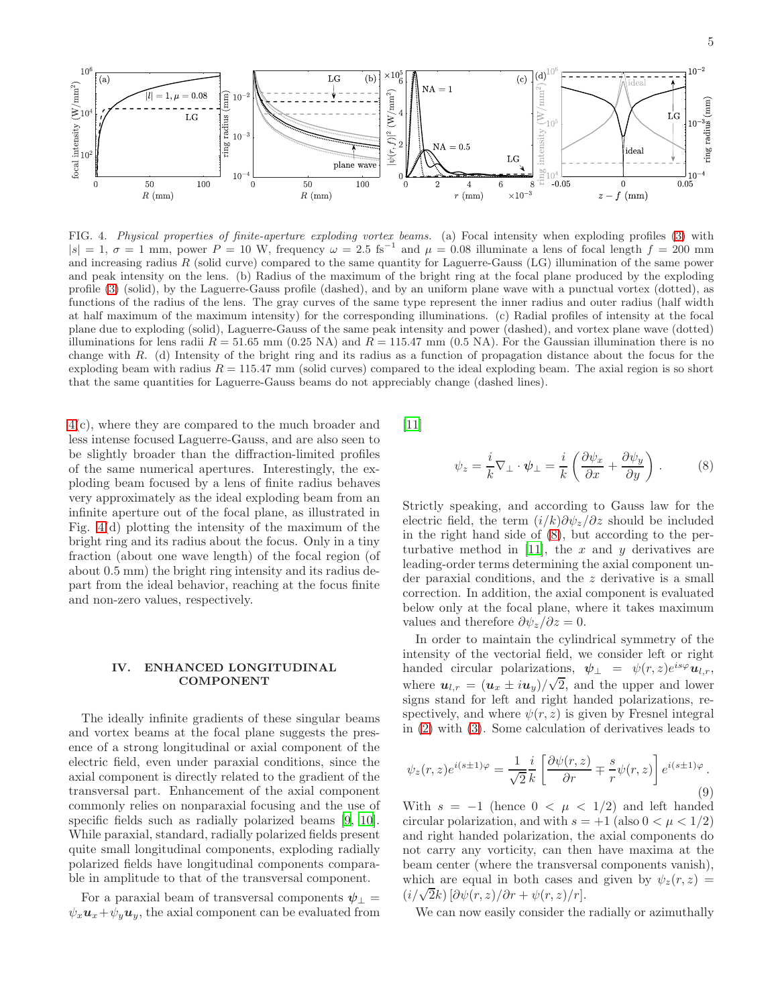

<span id="page-4-0"></span>FIG. 4. *Physical properties of finite-aperture exploding vortex beams.* (a) Focal intensity when exploding profiles [\(3\)](#page-1-0) with  $|s| = 1, \sigma = 1$  mm, power  $P = 10$  W, frequency  $\omega = 2.5$  fs<sup>-1</sup> and  $\mu = 0.08$  illuminate a lens of focal length  $f = 200$  mm and increasing radius R (solid curve) compared to the same quantity for Laguerre-Gauss (LG) illumination of the same power and peak intensity on the lens. (b) Radius of the maximum of the bright ring at the focal plane produced by the exploding profile [\(3\)](#page-1-0) (solid), by the Laguerre-Gauss profile (dashed), and by an uniform plane wave with a punctual vortex (dotted), as functions of the radius of the lens. The gray curves of the same type represent the inner radius and outer radius (half width at half maximum of the maximum intensity) for the corresponding illuminations. (c) Radial profiles of intensity at the focal plane due to exploding (solid), Laguerre-Gauss of the same peak intensity and power (dashed), and vortex plane wave (dotted) illuminations for lens radii  $R = 51.65$  mm (0.25 NA) and  $R = 115.47$  mm (0.5 NA). For the Gaussian illumination there is no change with R. (d) Intensity of the bright ring and its radius as a function of propagation distance about the focus for the exploding beam with radius  $R = 115.47$  mm (solid curves) compared to the ideal exploding beam. The axial region is so short that the same quantities for Laguerre-Gauss beams do not appreciably change (dashed lines).

[4\(](#page-4-0)c), where they are compared to the much broader and less intense focused Laguerre-Gauss, and are also seen to be slightly broader than the diffraction-limited profiles of the same numerical apertures. Interestingly, the exploding beam focused by a lens of finite radius behaves very approximately as the ideal exploding beam from an infinite aperture out of the focal plane, as illustrated in Fig. [4\(](#page-4-0)d) plotting the intensity of the maximum of the bright ring and its radius about the focus. Only in a tiny fraction (about one wave length) of the focal region (of about 0.5 mm) the bright ring intensity and its radius depart from the ideal behavior, reaching at the focus finite and non-zero values, respectively.

#### IV. ENHANCED LONGITUDINAL COMPONENT

The ideally infinite gradients of these singular beams and vortex beams at the focal plane suggests the presence of a strong longitudinal or axial component of the electric field, even under paraxial conditions, since the axial component is directly related to the gradient of the transversal part. Enhancement of the axial component commonly relies on nonparaxial focusing and the use of specific fields such as radially polarized beams [\[9](#page-7-3), [10\]](#page-7-4). While paraxial, standard, radially polarized fields present quite small longitudinal components, exploding radially polarized fields have longitudinal components comparable in amplitude to that of the transversal component.

For a paraxial beam of transversal components  $\psi_{\perp} =$  $\psi_x \mathbf{u}_x + \psi_y \mathbf{u}_y$ , the axial component can be evaluated from [\[11\]](#page-7-5)

<span id="page-4-1"></span>
$$
\psi_z = \frac{i}{k} \nabla_{\perp} \cdot \psi_{\perp} = \frac{i}{k} \left( \frac{\partial \psi_x}{\partial x} + \frac{\partial \psi_y}{\partial y} \right) . \tag{8}
$$

Strictly speaking, and according to Gauss law for the electric field, the term  $(i/k)\partial \psi_z/\partial z$  should be included in the right hand side of [\(8\)](#page-4-1), but according to the per-turbative method in [\[11\]](#page-7-5), the x and y derivatives are leading-order terms determining the axial component under paraxial conditions, and the z derivative is a small correction. In addition, the axial component is evaluated below only at the focal plane, where it takes maximum values and therefore  $\partial \psi_z / \partial z = 0$ .

In order to maintain the cylindrical symmetry of the intensity of the vectorial field, we consider left or right handed circular polarizations,  $\psi_{\perp} = \psi(r, z)e^{is\varphi}u_{l,r}$ , where  $u_{l,r} = (u_x \pm iu_y)/\sqrt{2}$ , and the upper and lower signs stand for left and right handed polarizations, respectively, and where  $\psi(r, z)$  is given by Fresnel integral in [\(2\)](#page-1-2) with [\(3\)](#page-1-0). Some calculation of derivatives leads to

$$
\psi_z(r,z)e^{i(s\pm 1)\varphi} = \frac{1}{\sqrt{2}}\frac{i}{k} \left[ \frac{\partial \psi(r,z)}{\partial r} \mp \frac{s}{r} \psi(r,z) \right] e^{i(s\pm 1)\varphi}.
$$
\n(9)

With  $s = -1$  (hence  $0 < \mu < 1/2$ ) and left handed circular polarization, and with  $s = +1$  (also  $0 < \mu < 1/2$ ) and right handed polarization, the axial components do not carry any vorticity, can then have maxima at the beam center (where the transversal components vanish), which are equal in both cases and given by  $\psi_z(r, z) =$  $(i/\sqrt{2}k)$   $[\partial \psi(r,z)/\partial r + \psi(r,z)/r]$ .

We can now easily consider the radially or azimuthally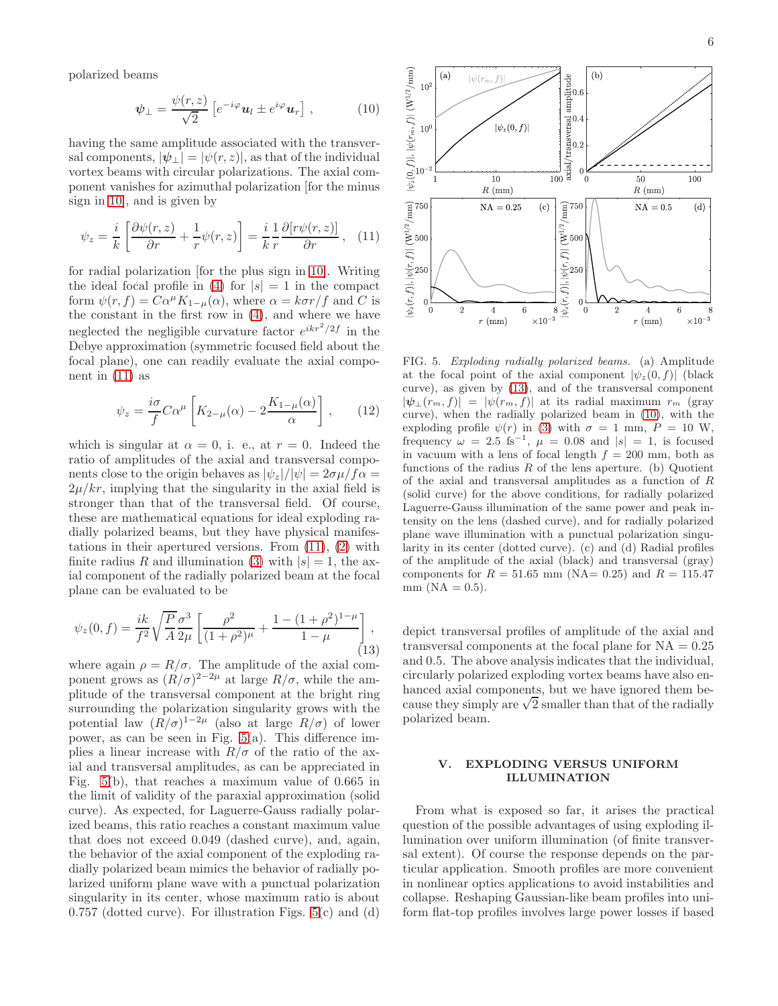polarized beams

<span id="page-5-0"></span>
$$
\psi_{\perp} = \frac{\psi(r, z)}{\sqrt{2}} \left[ e^{-i\varphi} \mathbf{u}_l \pm e^{i\varphi} \mathbf{u}_r \right], \qquad (10)
$$

having the same amplitude associated with the transversal components,  $|\psi_{\perp}| = |\psi(r, z)|$ , as that of the individual vortex beams with circular polarizations. The axial component vanishes for azimuthal polarization [for the minus sign in [10\]](#page-5-0), and is given by

<span id="page-5-1"></span>
$$
\psi_z = \frac{i}{k} \left[ \frac{\partial \psi(r, z)}{\partial r} + \frac{1}{r} \psi(r, z) \right] = \frac{i}{k} \frac{1}{r} \frac{\partial [r\psi(r, z)]}{\partial r}, \quad (11)
$$

for radial polarization [for the plus sign in [10\]](#page-5-0). Writing the ideal focal profile in [\(4\)](#page-1-3) for  $|s| = 1$  in the compact form  $\psi(r, f) = C\alpha^{\mu} K_{1-\mu}(\alpha)$ , where  $\alpha = k\sigma r/f$  and C is the constant in the first row in [\(4\)](#page-1-3), and where we have neglected the negligible curvature factor  $e^{ikr^2/2f}$  in the Debye approximation (symmetric focused field about the focal plane), one can readily evaluate the axial component in  $(11)$  as

$$
\psi_z = \frac{i\sigma}{f} C\alpha^\mu \left[ K_{2-\mu}(\alpha) - 2\frac{K_{1-\mu}(\alpha)}{\alpha} \right],\qquad(12)
$$

which is singular at  $\alpha = 0$ , i. e., at  $r = 0$ . Indeed the ratio of amplitudes of the axial and transversal components close to the origin behaves as  $|\psi_z|/|\psi| = 2\sigma\mu/f\alpha =$  $2\mu/kr$ , implying that the singularity in the axial field is stronger than that of the transversal field. Of course, these are mathematical equations for ideal exploding radially polarized beams, but they have physical manifestations in their apertured versions. From [\(11\)](#page-5-1), [\(2\)](#page-1-2) with finite radius R and illumination [\(3\)](#page-1-0) with  $|s|=1$ , the axial component of the radially polarized beam at the focal plane can be evaluated to be

<span id="page-5-3"></span>
$$
\psi_z(0, f) = \frac{ik}{f^2} \sqrt{\frac{P}{A}} \frac{\sigma^3}{2\mu} \left[ \frac{\rho^2}{(1 + \rho^2)^{\mu}} + \frac{1 - (1 + \rho^2)^{1 - \mu}}{1 - \mu} \right],
$$
\n(13)

where again  $\rho = R/\sigma$ . The amplitude of the axial component grows as  $(R/\sigma)^{2-2\mu}$  at large  $R/\sigma$ , while the amplitude of the transversal component at the bright ring surrounding the polarization singularity grows with the potential law  $(R/\sigma)^{1-2\mu}$  (also at large  $R/\sigma$ ) of lower power, as can be seen in Fig. [5\(](#page-5-2)a). This difference implies a linear increase with  $R/\sigma$  of the ratio of the axial and transversal amplitudes, as can be appreciated in Fig. [5\(](#page-5-2)b), that reaches a maximum value of 0.665 in the limit of validity of the paraxial approximation (solid curve). As expected, for Laguerre-Gauss radially polarized beams, this ratio reaches a constant maximum value that does not exceed 0.049 (dashed curve), and, again, the behavior of the axial component of the exploding radially polarized beam mimics the behavior of radially polarized uniform plane wave with a punctual polarization singularity in its center, whose maximum ratio is about 0.757 (dotted curve). For illustration Figs. [5\(](#page-5-2)c) and (d)



<span id="page-5-2"></span>FIG. 5. *Exploding radially polarized beams.* (a) Amplitude at the focal point of the axial component  $|\psi_z(0, f)|$  (black curve), as given by [\(13\)](#page-5-3), and of the transversal component  $|\psi_{\perp}(r_m, f)| = |\psi(r_m, f)|$  at its radial maximum  $r_m$  (gray curve), when the radially polarized beam in [\(10\)](#page-5-0), with the exploding profile  $\psi(r)$  in [\(3\)](#page-1-0) with  $\sigma = 1$  mm,  $P = 10$  W, frequency  $\omega = 2.5$  fs<sup>-1</sup>,  $\mu = 0.08$  and  $|s| = 1$ , is focused in vacuum with a lens of focal length  $f = 200$  mm, both as functions of the radius  $R$  of the lens aperture. (b) Quotient of the axial and transversal amplitudes as a function of R (solid curve) for the above conditions, for radially polarized Laguerre-Gauss illumination of the same power and peak intensity on the lens (dashed curve), and for radially polarized plane wave illumination with a punctual polarization singularity in its center (dotted curve). (c) and (d) Radial profiles of the amplitude of the axial (black) and transversal (gray) components for  $R = 51.65$  mm (NA= 0.25) and  $R = 115.47$  $mm (NA = 0.5).$ 

depict transversal profiles of amplitude of the axial and transversal components at the focal plane for  $NA = 0.25$ and 0.5. The above analysis indicates that the individual, circularly polarized exploding vortex beams have also enhanced axial components, but we have ignored them because they simply are  $\sqrt{2}$  smaller than that of the radially polarized beam.

### V. EXPLODING VERSUS UNIFORM ILLUMINATION

From what is exposed so far, it arises the practical question of the possible advantages of using exploding illumination over uniform illumination (of finite transversal extent). Of course the response depends on the particular application. Smooth profiles are more convenient in nonlinear optics applications to avoid instabilities and collapse. Reshaping Gaussian-like beam profiles into uniform flat-top profiles involves large power losses if based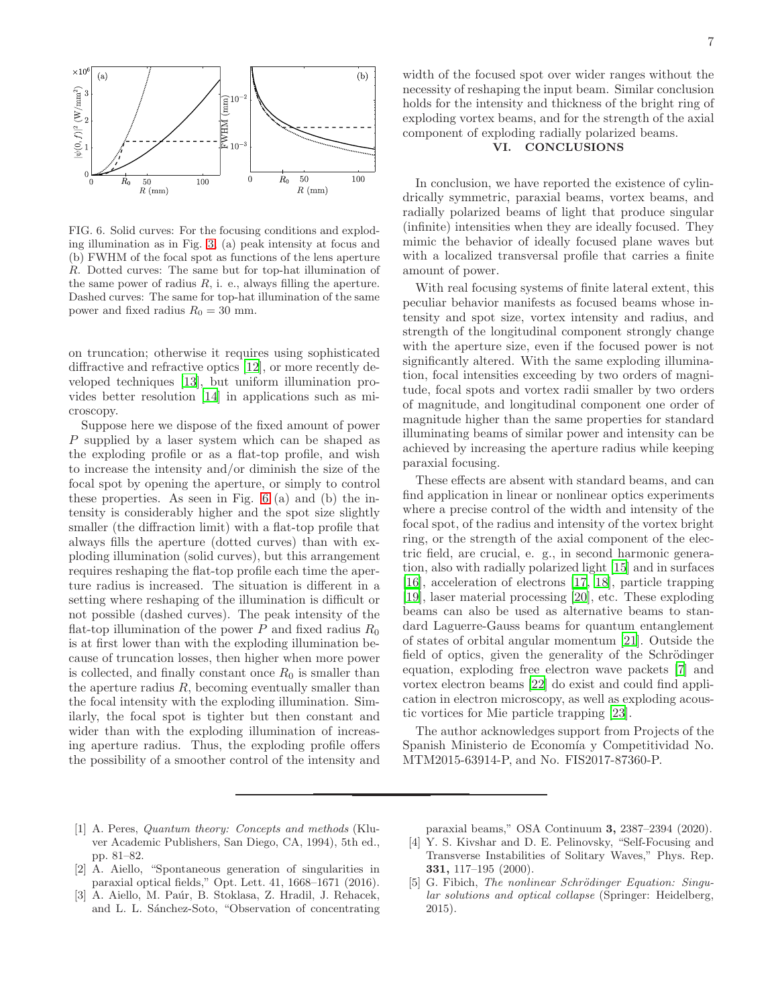

<span id="page-6-5"></span>FIG. 6. Solid curves: For the focusing conditions and exploding illumination as in Fig. [3,](#page-3-0) (a) peak intensity at focus and (b) FWHM of the focal spot as functions of the lens aperture R. Dotted curves: The same but for top-hat illumination of the same power of radius  $R$ , i. e., always filling the aperture. Dashed curves: The same for top-hat illumination of the same power and fixed radius  $R_0 = 30$  mm.

on truncation; otherwise it requires using sophisticated diffractive and refractive optics [\[12\]](#page-7-6), or more recently developed techniques [\[13\]](#page-7-7), but uniform illumination provides better resolution [\[14](#page-7-8)] in applications such as microscopy.

Suppose here we dispose of the fixed amount of power P supplied by a laser system which can be shaped as the exploding profile or as a flat-top profile, and wish to increase the intensity and/or diminish the size of the focal spot by opening the aperture, or simply to control these properties. As seen in Fig. [6](#page-6-5) (a) and (b) the intensity is considerably higher and the spot size slightly smaller (the diffraction limit) with a flat-top profile that always fills the aperture (dotted curves) than with exploding illumination (solid curves), but this arrangement requires reshaping the flat-top profile each time the aperture radius is increased. The situation is different in a setting where reshaping of the illumination is difficult or not possible (dashed curves). The peak intensity of the flat-top illumination of the power  $P$  and fixed radius  $R_0$ is at first lower than with the exploding illumination because of truncation losses, then higher when more power is collected, and finally constant once  $R_0$  is smaller than the aperture radius  $R$ , becoming eventually smaller than the focal intensity with the exploding illumination. Similarly, the focal spot is tighter but then constant and wider than with the exploding illumination of increasing aperture radius. Thus, the exploding profile offers the possibility of a smoother control of the intensity and

width of the focused spot over wider ranges without the necessity of reshaping the input beam. Similar conclusion holds for the intensity and thickness of the bright ring of exploding vortex beams, and for the strength of the axial component of exploding radially polarized beams.

## VI. CONCLUSIONS

In conclusion, we have reported the existence of cylindrically symmetric, paraxial beams, vortex beams, and radially polarized beams of light that produce singular (infinite) intensities when they are ideally focused. They mimic the behavior of ideally focused plane waves but with a localized transversal profile that carries a finite amount of power.

With real focusing systems of finite lateral extent, this peculiar behavior manifests as focused beams whose intensity and spot size, vortex intensity and radius, and strength of the longitudinal component strongly change with the aperture size, even if the focused power is not significantly altered. With the same exploding illumination, focal intensities exceeding by two orders of magnitude, focal spots and vortex radii smaller by two orders of magnitude, and longitudinal component one order of magnitude higher than the same properties for standard illuminating beams of similar power and intensity can be achieved by increasing the aperture radius while keeping paraxial focusing.

These effects are absent with standard beams, and can find application in linear or nonlinear optics experiments where a precise control of the width and intensity of the focal spot, of the radius and intensity of the vortex bright ring, or the strength of the axial component of the electric field, are crucial, e. g., in second harmonic generation, also with radially polarized light [\[15](#page-7-9)] and in surfaces [\[16\]](#page-7-10), acceleration of electrons [\[17,](#page-7-11) [18\]](#page-7-12), particle trapping [\[19\]](#page-7-13), laser material processing [\[20](#page-7-14)], etc. These exploding beams can also be used as alternative beams to standard Laguerre-Gauss beams for quantum entanglement of states of orbital angular momentum [\[21](#page-7-15)]. Outside the field of optics, given the generality of the Schrödinger equation, exploding free electron wave packets [\[7\]](#page-7-1) and vortex electron beams [\[22\]](#page-7-16) do exist and could find application in electron microscopy, as well as exploding acoustic vortices for Mie particle trapping [\[23](#page-7-17)].

The author acknowledges support from Projects of the Spanish Ministerio de Economía y Competitividad No. MTM2015-63914-P, and No. FIS2017-87360-P.

- <span id="page-6-0"></span>[1] A. Peres, *Quantum theory: Concepts and methods* (Kluver Academic Publishers, San Diego, CA, 1994), 5th ed., pp. 81–82.
- <span id="page-6-1"></span>[2] A. Aiello, "Spontaneous generation of singularities in paraxial optical fields," Opt. Lett. 41, 1668–1671 (2016).
- <span id="page-6-2"></span>[3] A. Aiello, M. Paúr, B. Stoklasa, Z. Hradil, J. Rehacek, and L. L. Sánchez-Soto, "Observation of concentrating

paraxial beams," OSA Continuum 3, 2387–2394 (2020).

- <span id="page-6-3"></span>[4] Y. S. Kivshar and D. E. Pelinovsky, "Self-Focusing and Transverse Instabilities of Solitary Waves," Phys. Rep. 331, 117–195 (2000).
- <span id="page-6-4"></span>[5] G. Fibich, *The nonlinear Schrödinger Equation: Singular solutions and optical collapse* (Springer: Heidelberg, 2015).